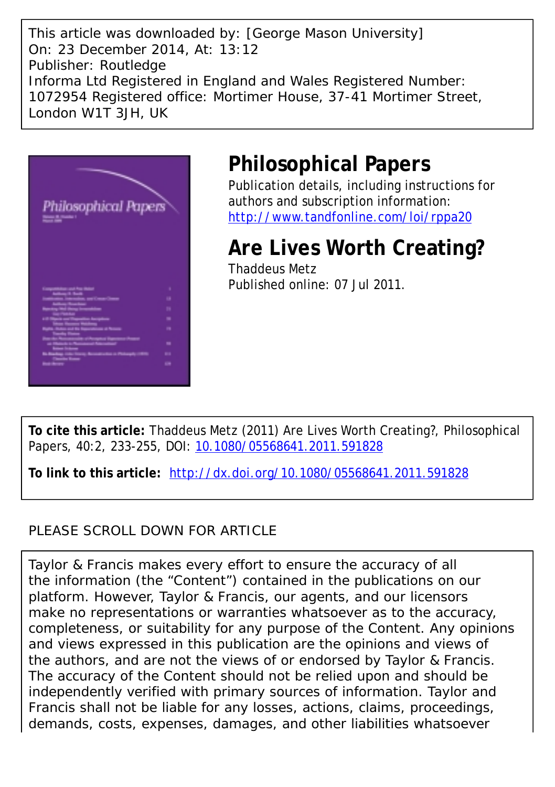This article was downloaded by: [George Mason University] On: 23 December 2014, At: 13:12 Publisher: Routledge Informa Ltd Registered in England and Wales Registered Number: 1072954 Registered office: Mortimer House, 37-41 Mortimer Street, London W1T 3JH, UK



# **Philosophical Papers**

Publication details, including instructions for authors and subscription information: <http://www.tandfonline.com/loi/rppa20>

## **Are Lives Worth Creating?**

Thaddeus Metz Published online: 07 Jul 2011.

**To cite this article:** Thaddeus Metz (2011) Are Lives Worth Creating?, Philosophical Papers, 40:2, 233-255, DOI: [10.1080/05568641.2011.591828](http://www.tandfonline.com/action/showCitFormats?doi=10.1080/05568641.2011.591828)

**To link to this article:** <http://dx.doi.org/10.1080/05568641.2011.591828>

## PLEASE SCROLL DOWN FOR ARTICLE

Taylor & Francis makes every effort to ensure the accuracy of all the information (the "Content") contained in the publications on our platform. However, Taylor & Francis, our agents, and our licensors make no representations or warranties whatsoever as to the accuracy, completeness, or suitability for any purpose of the Content. Any opinions and views expressed in this publication are the opinions and views of the authors, and are not the views of or endorsed by Taylor & Francis. The accuracy of the Content should not be relied upon and should be independently verified with primary sources of information. Taylor and Francis shall not be liable for any losses, actions, claims, proceedings, demands, costs, expenses, damages, and other liabilities whatsoever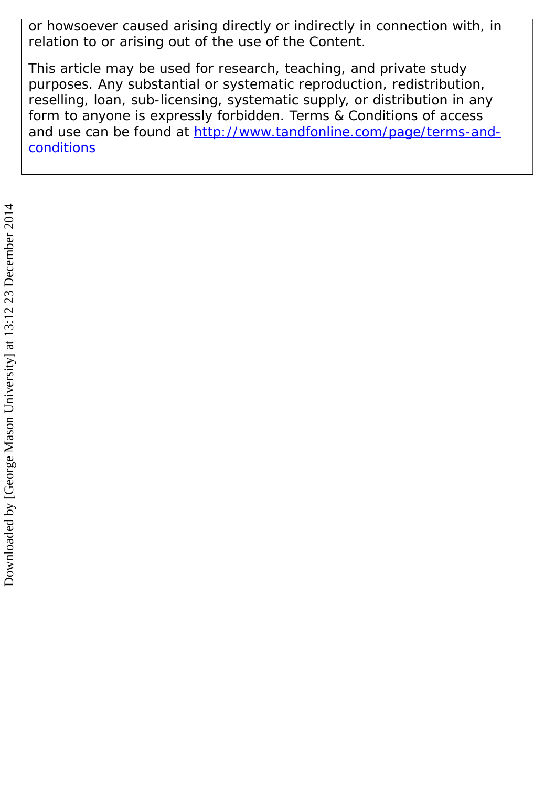or howsoever caused arising directly or indirectly in connection with, in relation to or arising out of the use of the Content.

This article may be used for research, teaching, and private study purposes. Any substantial or systematic reproduction, redistribution, reselling, loan, sub-licensing, systematic supply, or distribution in any form to anyone is expressly forbidden. Terms & Conditions of access and use can be found at [http://www.tandfonline.com/page/terms-and](http://www.tandfonline.com/page/terms-and-conditions)[conditions](http://www.tandfonline.com/page/terms-and-conditions)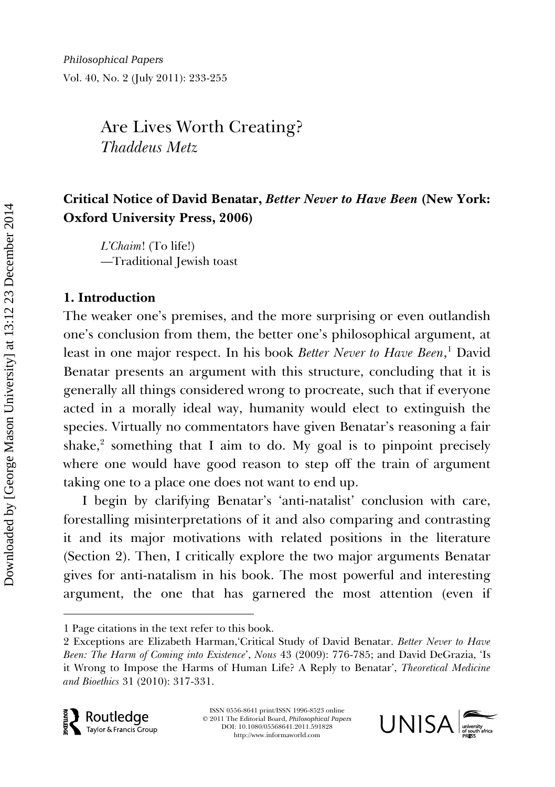Are Lives Worth Creating? *Thaddeus Metz* 

## **Critical Notice of David Benatar,** *Better Never to Have Been* **(New York: Oxford University Press, 2006)**

*L'Chaim*! (To life!) —Traditional Jewish toast

#### **1. Introduction**

The weaker one's premises, and the more surprising or even outlandish one's conclusion from them, the better one's philosophical argument, at least in one major respect. In his book Better Never to Have Been,<sup>1</sup> David Benatar presents an argument with this structure, concluding that it is generally all things considered wrong to procreate, such that if everyone acted in a morally ideal way, humanity would elect to extinguish the species. Virtually no commentators have given Benatar's reasoning a fair shake,<sup>2</sup> something that I aim to do. My goal is to pinpoint precisely where one would have good reason to step off the train of argument taking one to a place one does not want to end up.

I begin by clarifying Benatar's 'anti-natalist' conclusion with care, forestalling misinterpretations of it and also comparing and contrasting it and its major motivations with related positions in the literature (Section 2). Then, I critically explore the two major arguments Benatar gives for anti-natalism in his book. The most powerful and interesting argument, the one that has garnered the most attention (even if

<sup>2</sup> Exceptions are Elizabeth Harman,'Critical Study of David Benatar. *Better Never to Have Been: The Harm of Coming into Existence*', *Nous* 43 (2009): 776-785; and David DeGrazia, 'Is it Wrong to Impose the Harms of Human Life? A Reply to Benatar', *Theoretical Medicine and Bioethics* 31 (2010): 317-331.



1



<sup>1</sup> Page citations in the text refer to this book.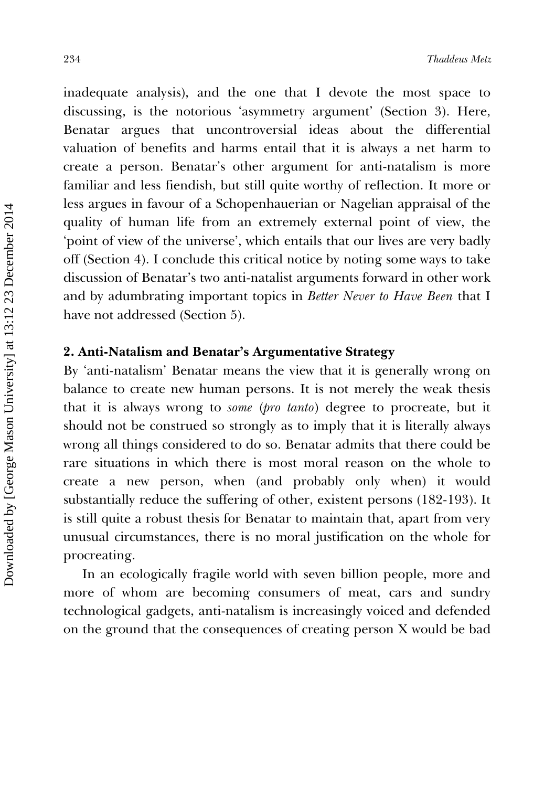inadequate analysis), and the one that I devote the most space to discussing, is the notorious 'asymmetry argument' (Section 3). Here, Benatar argues that uncontroversial ideas about the differential valuation of benefits and harms entail that it is always a net harm to create a person. Benatar's other argument for anti-natalism is more familiar and less fiendish, but still quite worthy of reflection. It more or less argues in favour of a Schopenhauerian or Nagelian appraisal of the quality of human life from an extremely external point of view, the 'point of view of the universe', which entails that our lives are very badly off (Section 4). I conclude this critical notice by noting some ways to take discussion of Benatar's two anti-natalist arguments forward in other work and by adumbrating important topics in *Better Never to Have Been* that I have not addressed (Section 5).

#### **2. Anti-Natalism and Benatar's Argumentative Strategy**

By 'anti-natalism' Benatar means the view that it is generally wrong on balance to create new human persons. It is not merely the weak thesis that it is always wrong to *some* (*pro tanto*) degree to procreate, but it should not be construed so strongly as to imply that it is literally always wrong all things considered to do so. Benatar admits that there could be rare situations in which there is most moral reason on the whole to create a new person, when (and probably only when) it would substantially reduce the suffering of other, existent persons (182-193). It is still quite a robust thesis for Benatar to maintain that, apart from very unusual circumstances, there is no moral justification on the whole for procreating.

In an ecologically fragile world with seven billion people, more and more of whom are becoming consumers of meat, cars and sundry technological gadgets, anti-natalism is increasingly voiced and defended on the ground that the consequences of creating person X would be bad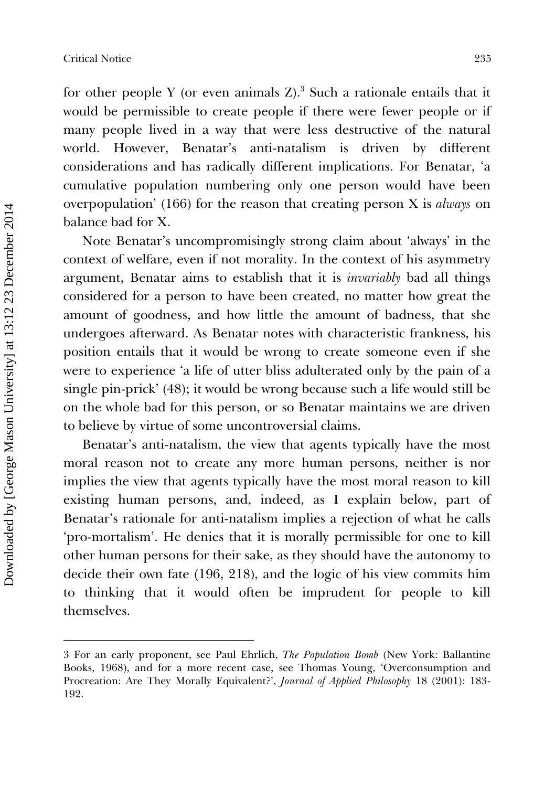for other people Y (or even animals  $Z$ ).<sup>3</sup> Such a rationale entails that it would be permissible to create people if there were fewer people or if many people lived in a way that were less destructive of the natural world. However, Benatar's anti-natalism is driven by different considerations and has radically different implications. For Benatar, 'a cumulative population numbering only one person would have been overpopulation' (166) for the reason that creating person X is *always* on balance bad for X.

Note Benatar's uncompromisingly strong claim about 'always' in the context of welfare, even if not morality. In the context of his asymmetry argument, Benatar aims to establish that it is *invariably* bad all things considered for a person to have been created, no matter how great the amount of goodness, and how little the amount of badness, that she undergoes afterward. As Benatar notes with characteristic frankness, his position entails that it would be wrong to create someone even if she were to experience 'a life of utter bliss adulterated only by the pain of a single pin-prick' (48); it would be wrong because such a life would still be on the whole bad for this person, or so Benatar maintains we are driven to believe by virtue of some uncontroversial claims.

Benatar's anti-natalism, the view that agents typically have the most moral reason not to create any more human persons, neither is nor implies the view that agents typically have the most moral reason to kill existing human persons, and, indeed, as I explain below, part of Benatar's rationale for anti-natalism implies a rejection of what he calls 'pro-mortalism'. He denies that it is morally permissible for one to kill other human persons for their sake, as they should have the autonomy to decide their own fate (196, 218), and the logic of his view commits him to thinking that it would often be imprudent for people to kill themselves.

1

<sup>3</sup> For an early proponent, see Paul Ehrlich, *The Population Bomb* (New York: Ballantine Books, 1968), and for a more recent case, see Thomas Young, 'Overconsumption and Procreation: Are They Morally Equivalent?', *Journal of Applied Philosophy* 18 (2001): 183- 192.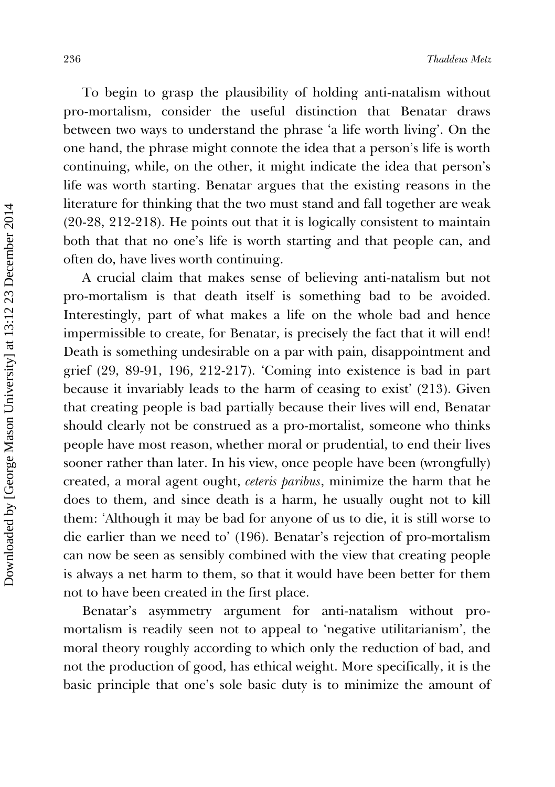To begin to grasp the plausibility of holding anti-natalism without pro-mortalism, consider the useful distinction that Benatar draws between two ways to understand the phrase 'a life worth living'. On the one hand, the phrase might connote the idea that a person's life is worth continuing, while, on the other, it might indicate the idea that person's life was worth starting. Benatar argues that the existing reasons in the literature for thinking that the two must stand and fall together are weak (20-28, 212-218). He points out that it is logically consistent to maintain both that that no one's life is worth starting and that people can, and often do, have lives worth continuing.

A crucial claim that makes sense of believing anti-natalism but not pro-mortalism is that death itself is something bad to be avoided. Interestingly, part of what makes a life on the whole bad and hence impermissible to create, for Benatar, is precisely the fact that it will end! Death is something undesirable on a par with pain, disappointment and grief (29, 89-91, 196, 212-217). 'Coming into existence is bad in part because it invariably leads to the harm of ceasing to exist' (213). Given that creating people is bad partially because their lives will end, Benatar should clearly not be construed as a pro-mortalist, someone who thinks people have most reason, whether moral or prudential, to end their lives sooner rather than later. In his view, once people have been (wrongfully) created, a moral agent ought, *ceteris paribus*, minimize the harm that he does to them, and since death is a harm, he usually ought not to kill them: 'Although it may be bad for anyone of us to die, it is still worse to die earlier than we need to' (196). Benatar's rejection of pro-mortalism can now be seen as sensibly combined with the view that creating people is always a net harm to them, so that it would have been better for them not to have been created in the first place.

Benatar's asymmetry argument for anti-natalism without promortalism is readily seen not to appeal to 'negative utilitarianism', the moral theory roughly according to which only the reduction of bad, and not the production of good, has ethical weight. More specifically, it is the basic principle that one's sole basic duty is to minimize the amount of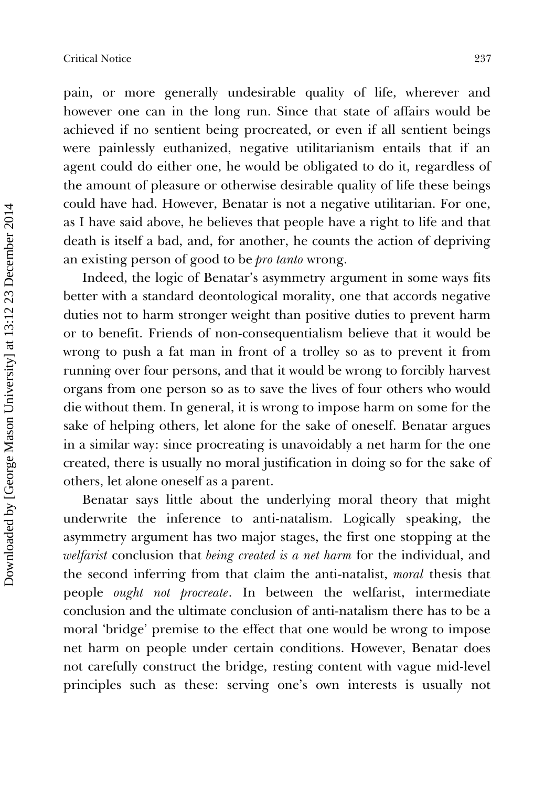pain, or more generally undesirable quality of life, wherever and however one can in the long run. Since that state of affairs would be achieved if no sentient being procreated, or even if all sentient beings were painlessly euthanized, negative utilitarianism entails that if an agent could do either one, he would be obligated to do it, regardless of the amount of pleasure or otherwise desirable quality of life these beings could have had. However, Benatar is not a negative utilitarian. For one, as I have said above, he believes that people have a right to life and that death is itself a bad, and, for another, he counts the action of depriving an existing person of good to be *pro tanto* wrong.

Indeed, the logic of Benatar's asymmetry argument in some ways fits better with a standard deontological morality, one that accords negative duties not to harm stronger weight than positive duties to prevent harm or to benefit. Friends of non-consequentialism believe that it would be wrong to push a fat man in front of a trolley so as to prevent it from running over four persons, and that it would be wrong to forcibly harvest organs from one person so as to save the lives of four others who would die without them. In general, it is wrong to impose harm on some for the sake of helping others, let alone for the sake of oneself. Benatar argues in a similar way: since procreating is unavoidably a net harm for the one created, there is usually no moral justification in doing so for the sake of others, let alone oneself as a parent.

Benatar says little about the underlying moral theory that might underwrite the inference to anti-natalism. Logically speaking, the asymmetry argument has two major stages, the first one stopping at the *welfarist* conclusion that *being created is a net harm* for the individual, and the second inferring from that claim the anti-natalist, *moral* thesis that people *ought not procreate*. In between the welfarist, intermediate conclusion and the ultimate conclusion of anti-natalism there has to be a moral 'bridge' premise to the effect that one would be wrong to impose net harm on people under certain conditions. However, Benatar does not carefully construct the bridge, resting content with vague mid-level principles such as these: serving one's own interests is usually not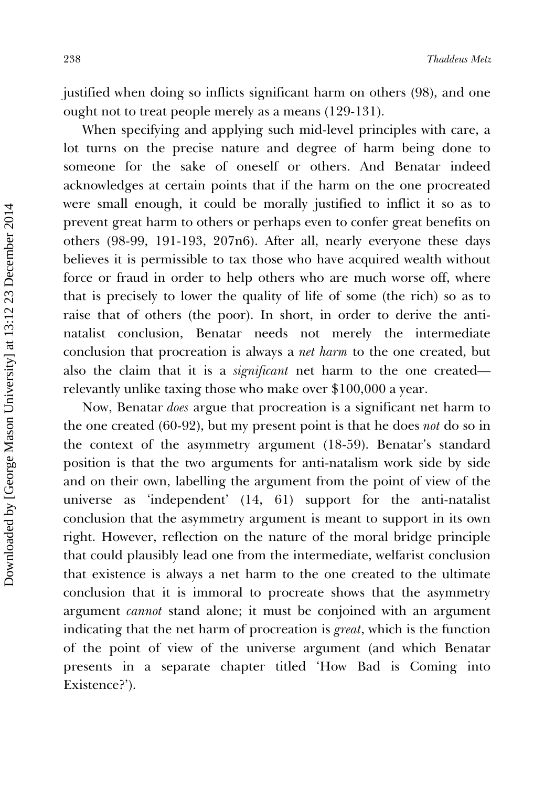justified when doing so inflicts significant harm on others (98), and one ought not to treat people merely as a means (129-131).

When specifying and applying such mid-level principles with care, a lot turns on the precise nature and degree of harm being done to someone for the sake of oneself or others. And Benatar indeed acknowledges at certain points that if the harm on the one procreated were small enough, it could be morally justified to inflict it so as to prevent great harm to others or perhaps even to confer great benefits on others (98-99, 191-193, 207n6). After all, nearly everyone these days believes it is permissible to tax those who have acquired wealth without force or fraud in order to help others who are much worse off, where that is precisely to lower the quality of life of some (the rich) so as to raise that of others (the poor). In short, in order to derive the antinatalist conclusion, Benatar needs not merely the intermediate conclusion that procreation is always a *net harm* to the one created, but also the claim that it is a *significant* net harm to the one created relevantly unlike taxing those who make over \$100,000 a year.

Now, Benatar *does* argue that procreation is a significant net harm to the one created (60-92), but my present point is that he does *not* do so in the context of the asymmetry argument (18-59). Benatar's standard position is that the two arguments for anti-natalism work side by side and on their own, labelling the argument from the point of view of the universe as 'independent' (14, 61) support for the anti-natalist conclusion that the asymmetry argument is meant to support in its own right. However, reflection on the nature of the moral bridge principle that could plausibly lead one from the intermediate, welfarist conclusion that existence is always a net harm to the one created to the ultimate conclusion that it is immoral to procreate shows that the asymmetry argument *cannot* stand alone; it must be conjoined with an argument indicating that the net harm of procreation is *great*, which is the function of the point of view of the universe argument (and which Benatar presents in a separate chapter titled 'How Bad is Coming into Existence?').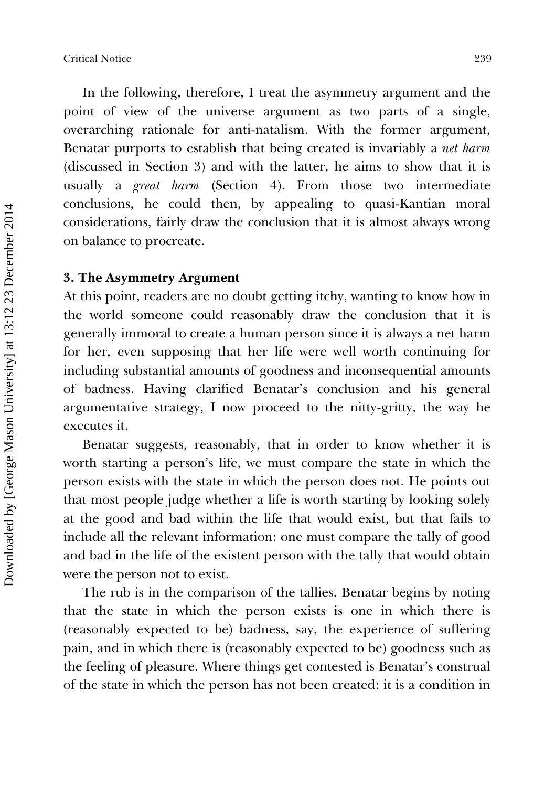Critical Notice 239

In the following, therefore, I treat the asymmetry argument and the point of view of the universe argument as two parts of a single, overarching rationale for anti-natalism. With the former argument, Benatar purports to establish that being created is invariably a *net harm* (discussed in Section 3) and with the latter, he aims to show that it is usually a *great harm* (Section 4). From those two intermediate conclusions, he could then, by appealing to quasi-Kantian moral considerations, fairly draw the conclusion that it is almost always wrong on balance to procreate.

#### **3. The Asymmetry Argument**

At this point, readers are no doubt getting itchy, wanting to know how in the world someone could reasonably draw the conclusion that it is generally immoral to create a human person since it is always a net harm for her, even supposing that her life were well worth continuing for including substantial amounts of goodness and inconsequential amounts of badness. Having clarified Benatar's conclusion and his general argumentative strategy, I now proceed to the nitty-gritty, the way he executes it.

Benatar suggests, reasonably, that in order to know whether it is worth starting a person's life, we must compare the state in which the person exists with the state in which the person does not. He points out that most people judge whether a life is worth starting by looking solely at the good and bad within the life that would exist, but that fails to include all the relevant information: one must compare the tally of good and bad in the life of the existent person with the tally that would obtain were the person not to exist.

The rub is in the comparison of the tallies. Benatar begins by noting that the state in which the person exists is one in which there is (reasonably expected to be) badness, say, the experience of suffering pain, and in which there is (reasonably expected to be) goodness such as the feeling of pleasure. Where things get contested is Benatar's construal of the state in which the person has not been created: it is a condition in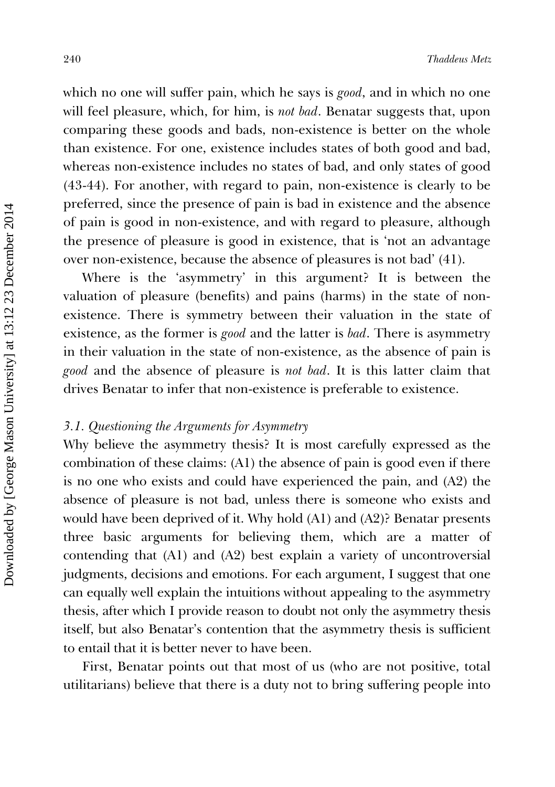which no one will suffer pain, which he says is *good*, and in which no one will feel pleasure, which, for him, is *not bad*. Benatar suggests that, upon comparing these goods and bads, non-existence is better on the whole than existence. For one, existence includes states of both good and bad, whereas non-existence includes no states of bad, and only states of good (43-44). For another, with regard to pain, non-existence is clearly to be preferred, since the presence of pain is bad in existence and the absence of pain is good in non-existence, and with regard to pleasure, although the presence of pleasure is good in existence, that is 'not an advantage over non-existence, because the absence of pleasures is not bad' (41).

Where is the 'asymmetry' in this argument? It is between the valuation of pleasure (benefits) and pains (harms) in the state of nonexistence. There is symmetry between their valuation in the state of existence, as the former is *good* and the latter is *bad*. There is asymmetry in their valuation in the state of non-existence, as the absence of pain is *good* and the absence of pleasure is *not bad*. It is this latter claim that drives Benatar to infer that non-existence is preferable to existence.

#### *3.1. Questioning the Arguments for Asymmetry*

Why believe the asymmetry thesis? It is most carefully expressed as the combination of these claims: (A1) the absence of pain is good even if there is no one who exists and could have experienced the pain, and (A2) the absence of pleasure is not bad, unless there is someone who exists and would have been deprived of it. Why hold (A1) and (A2)? Benatar presents three basic arguments for believing them, which are a matter of contending that (A1) and (A2) best explain a variety of uncontroversial judgments, decisions and emotions. For each argument, I suggest that one can equally well explain the intuitions without appealing to the asymmetry thesis, after which I provide reason to doubt not only the asymmetry thesis itself, but also Benatar's contention that the asymmetry thesis is sufficient to entail that it is better never to have been.

First, Benatar points out that most of us (who are not positive, total utilitarians) believe that there is a duty not to bring suffering people into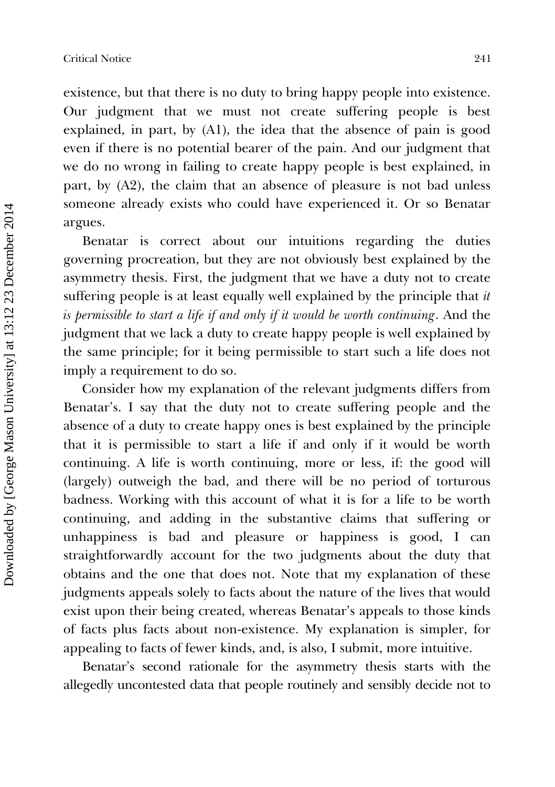existence, but that there is no duty to bring happy people into existence. Our judgment that we must not create suffering people is best explained, in part, by (A1), the idea that the absence of pain is good even if there is no potential bearer of the pain. And our judgment that we do no wrong in failing to create happy people is best explained, in part, by (A2), the claim that an absence of pleasure is not bad unless someone already exists who could have experienced it. Or so Benatar argues.

Benatar is correct about our intuitions regarding the duties governing procreation, but they are not obviously best explained by the asymmetry thesis. First, the judgment that we have a duty not to create suffering people is at least equally well explained by the principle that *it is permissible to start a life if and only if it would be worth continuing*. And the judgment that we lack a duty to create happy people is well explained by the same principle; for it being permissible to start such a life does not imply a requirement to do so.

Consider how my explanation of the relevant judgments differs from Benatar's. I say that the duty not to create suffering people and the absence of a duty to create happy ones is best explained by the principle that it is permissible to start a life if and only if it would be worth continuing. A life is worth continuing, more or less, if: the good will (largely) outweigh the bad, and there will be no period of torturous badness. Working with this account of what it is for a life to be worth continuing, and adding in the substantive claims that suffering or unhappiness is bad and pleasure or happiness is good, I can straightforwardly account for the two judgments about the duty that obtains and the one that does not. Note that my explanation of these judgments appeals solely to facts about the nature of the lives that would exist upon their being created, whereas Benatar's appeals to those kinds of facts plus facts about non-existence. My explanation is simpler, for appealing to facts of fewer kinds, and, is also, I submit, more intuitive.

Benatar's second rationale for the asymmetry thesis starts with the allegedly uncontested data that people routinely and sensibly decide not to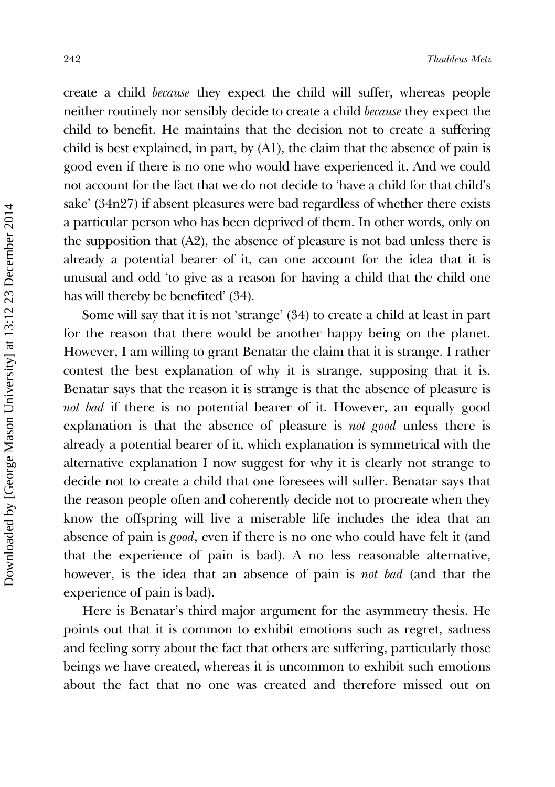create a child *because* they expect the child will suffer, whereas people neither routinely nor sensibly decide to create a child *because* they expect the child to benefit. He maintains that the decision not to create a suffering child is best explained, in part, by (A1), the claim that the absence of pain is good even if there is no one who would have experienced it. And we could not account for the fact that we do not decide to 'have a child for that child's sake' (34n27) if absent pleasures were bad regardless of whether there exists a particular person who has been deprived of them. In other words, only on the supposition that (A2), the absence of pleasure is not bad unless there is already a potential bearer of it, can one account for the idea that it is unusual and odd 'to give as a reason for having a child that the child one has will thereby be benefited' (34).

Some will say that it is not 'strange' (34) to create a child at least in part for the reason that there would be another happy being on the planet. However, I am willing to grant Benatar the claim that it is strange. I rather contest the best explanation of why it is strange, supposing that it is. Benatar says that the reason it is strange is that the absence of pleasure is *not bad* if there is no potential bearer of it. However, an equally good explanation is that the absence of pleasure is *not good* unless there is already a potential bearer of it, which explanation is symmetrical with the alternative explanation I now suggest for why it is clearly not strange to decide not to create a child that one foresees will suffer. Benatar says that the reason people often and coherently decide not to procreate when they know the offspring will live a miserable life includes the idea that an absence of pain is *good*, even if there is no one who could have felt it (and that the experience of pain is bad). A no less reasonable alternative, however, is the idea that an absence of pain is *not bad* (and that the experience of pain is bad).

Here is Benatar's third major argument for the asymmetry thesis. He points out that it is common to exhibit emotions such as regret, sadness and feeling sorry about the fact that others are suffering, particularly those beings we have created, whereas it is uncommon to exhibit such emotions about the fact that no one was created and therefore missed out on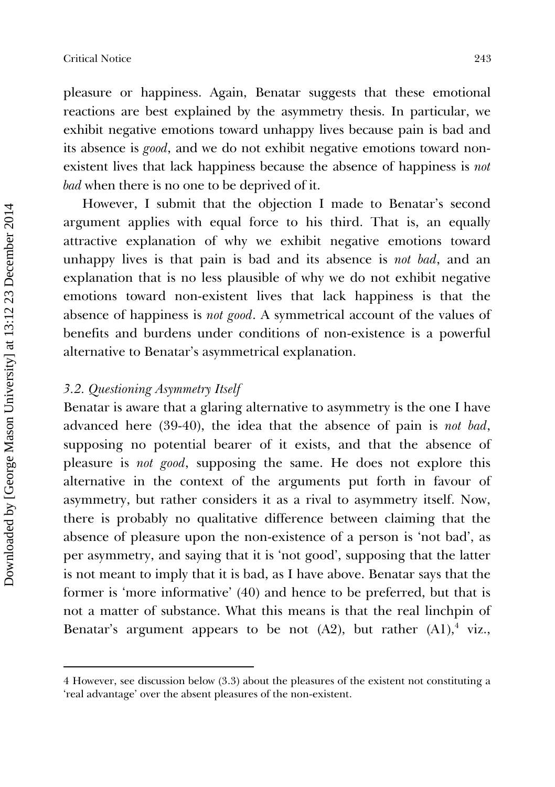pleasure or happiness. Again, Benatar suggests that these emotional reactions are best explained by the asymmetry thesis. In particular, we exhibit negative emotions toward unhappy lives because pain is bad and its absence is *good*, and we do not exhibit negative emotions toward nonexistent lives that lack happiness because the absence of happiness is *not bad* when there is no one to be deprived of it.

However, I submit that the objection I made to Benatar's second argument applies with equal force to his third. That is, an equally attractive explanation of why we exhibit negative emotions toward unhappy lives is that pain is bad and its absence is *not bad*, and an explanation that is no less plausible of why we do not exhibit negative emotions toward non-existent lives that lack happiness is that the absence of happiness is *not good*. A symmetrical account of the values of benefits and burdens under conditions of non-existence is a powerful alternative to Benatar's asymmetrical explanation.

#### *3.2. Questioning Asymmetry Itself*

Benatar is aware that a glaring alternative to asymmetry is the one I have advanced here (39-40), the idea that the absence of pain is *not bad*, supposing no potential bearer of it exists, and that the absence of pleasure is *not good*, supposing the same. He does not explore this alternative in the context of the arguments put forth in favour of asymmetry, but rather considers it as a rival to asymmetry itself. Now, there is probably no qualitative difference between claiming that the absence of pleasure upon the non-existence of a person is 'not bad', as per asymmetry, and saying that it is 'not good', supposing that the latter is not meant to imply that it is bad, as I have above. Benatar says that the former is 'more informative' (40) and hence to be preferred, but that is not a matter of substance. What this means is that the real linchpin of Benatar's argument appears to be not  $(A2)$ , but rather  $(A1)$ ,<sup>4</sup> viz.,

<sup>4</sup> However, see discussion below (3.3) about the pleasures of the existent not constituting a 'real advantage' over the absent pleasures of the non-existent.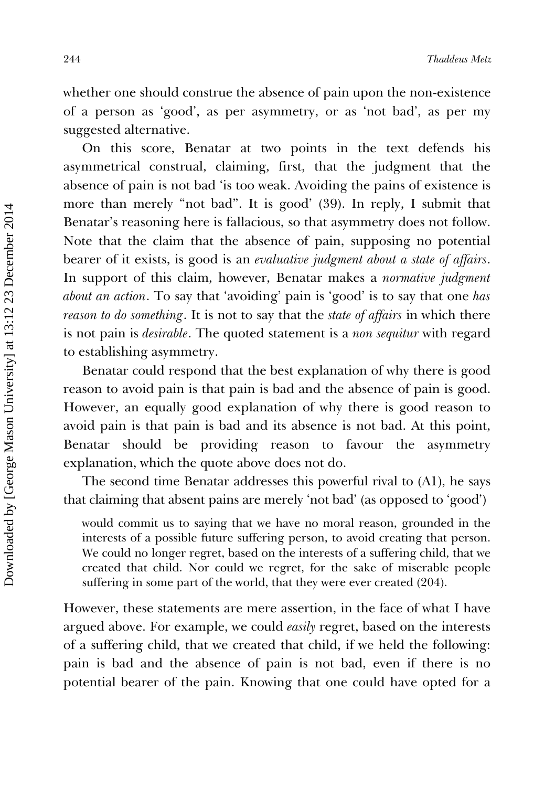whether one should construe the absence of pain upon the non-existence of a person as 'good', as per asymmetry, or as 'not bad', as per my suggested alternative.

On this score, Benatar at two points in the text defends his asymmetrical construal, claiming, first, that the judgment that the absence of pain is not bad 'is too weak. Avoiding the pains of existence is more than merely "not bad". It is good' (39). In reply, I submit that Benatar's reasoning here is fallacious, so that asymmetry does not follow. Note that the claim that the absence of pain, supposing no potential bearer of it exists, is good is an *evaluative judgment about a state of affairs*. In support of this claim, however, Benatar makes a *normative judgment about an action*. To say that 'avoiding' pain is 'good' is to say that one *has reason to do something*. It is not to say that the *state of affairs* in which there is not pain is *desirable*. The quoted statement is a *non sequitur* with regard to establishing asymmetry.

Benatar could respond that the best explanation of why there is good reason to avoid pain is that pain is bad and the absence of pain is good. However, an equally good explanation of why there is good reason to avoid pain is that pain is bad and its absence is not bad. At this point, Benatar should be providing reason to favour the asymmetry explanation, which the quote above does not do.

The second time Benatar addresses this powerful rival to (A1), he says that claiming that absent pains are merely 'not bad' (as opposed to 'good')

would commit us to saying that we have no moral reason, grounded in the interests of a possible future suffering person, to avoid creating that person. We could no longer regret, based on the interests of a suffering child, that we created that child. Nor could we regret, for the sake of miserable people suffering in some part of the world, that they were ever created (204).

However, these statements are mere assertion, in the face of what I have argued above. For example, we could *easily* regret, based on the interests of a suffering child, that we created that child, if we held the following: pain is bad and the absence of pain is not bad, even if there is no potential bearer of the pain. Knowing that one could have opted for a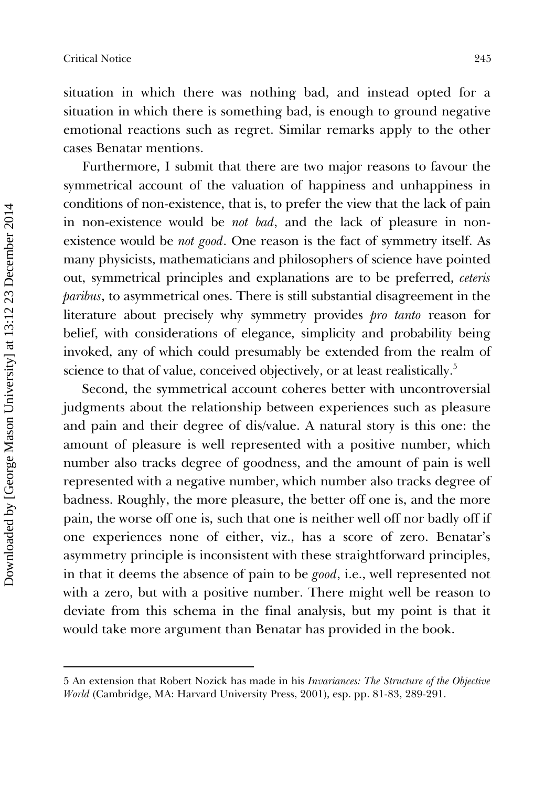situation in which there was nothing bad, and instead opted for a situation in which there is something bad, is enough to ground negative emotional reactions such as regret. Similar remarks apply to the other cases Benatar mentions.

Furthermore, I submit that there are two major reasons to favour the symmetrical account of the valuation of happiness and unhappiness in conditions of non-existence, that is, to prefer the view that the lack of pain in non-existence would be *not bad*, and the lack of pleasure in nonexistence would be *not good*. One reason is the fact of symmetry itself. As many physicists, mathematicians and philosophers of science have pointed out, symmetrical principles and explanations are to be preferred, *ceteris paribus*, to asymmetrical ones. There is still substantial disagreement in the literature about precisely why symmetry provides *pro tanto* reason for belief, with considerations of elegance, simplicity and probability being invoked, any of which could presumably be extended from the realm of science to that of value, conceived objectively, or at least realistically.<sup>5</sup>

Second, the symmetrical account coheres better with uncontroversial judgments about the relationship between experiences such as pleasure and pain and their degree of dis/value. A natural story is this one: the amount of pleasure is well represented with a positive number, which number also tracks degree of goodness, and the amount of pain is well represented with a negative number, which number also tracks degree of badness. Roughly, the more pleasure, the better off one is, and the more pain, the worse off one is, such that one is neither well off nor badly off if one experiences none of either, viz., has a score of zero. Benatar's asymmetry principle is inconsistent with these straightforward principles, in that it deems the absence of pain to be *good*, i.e., well represented not with a zero, but with a positive number. There might well be reason to deviate from this schema in the final analysis, but my point is that it would take more argument than Benatar has provided in the book.

<sup>5</sup> An extension that Robert Nozick has made in his *Invariances: The Structure of the Objective World* (Cambridge, MA: Harvard University Press, 2001), esp. pp. 81-83, 289-291.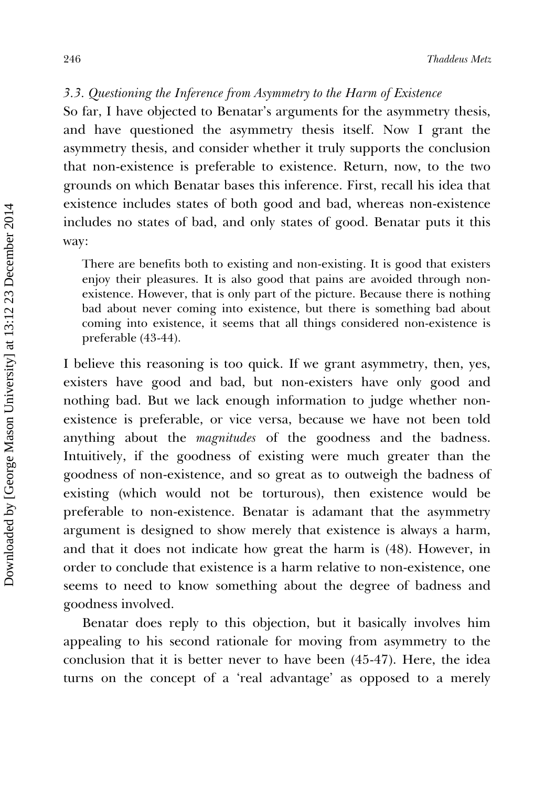### *3.3. Questioning the Inference from Asymmetry to the Harm of Existence*

So far, I have objected to Benatar's arguments for the asymmetry thesis, and have questioned the asymmetry thesis itself. Now I grant the asymmetry thesis, and consider whether it truly supports the conclusion that non-existence is preferable to existence. Return, now, to the two grounds on which Benatar bases this inference. First, recall his idea that existence includes states of both good and bad, whereas non-existence includes no states of bad, and only states of good. Benatar puts it this way:

There are benefits both to existing and non-existing. It is good that existers enjoy their pleasures. It is also good that pains are avoided through nonexistence. However, that is only part of the picture. Because there is nothing bad about never coming into existence, but there is something bad about coming into existence, it seems that all things considered non-existence is preferable (43-44).

I believe this reasoning is too quick. If we grant asymmetry, then, yes, existers have good and bad, but non-existers have only good and nothing bad. But we lack enough information to judge whether nonexistence is preferable, or vice versa, because we have not been told anything about the *magnitudes* of the goodness and the badness. Intuitively, if the goodness of existing were much greater than the goodness of non-existence, and so great as to outweigh the badness of existing (which would not be torturous), then existence would be preferable to non-existence. Benatar is adamant that the asymmetry argument is designed to show merely that existence is always a harm, and that it does not indicate how great the harm is (48). However, in order to conclude that existence is a harm relative to non-existence, one seems to need to know something about the degree of badness and goodness involved.

Benatar does reply to this objection, but it basically involves him appealing to his second rationale for moving from asymmetry to the conclusion that it is better never to have been (45-47). Here, the idea turns on the concept of a 'real advantage' as opposed to a merely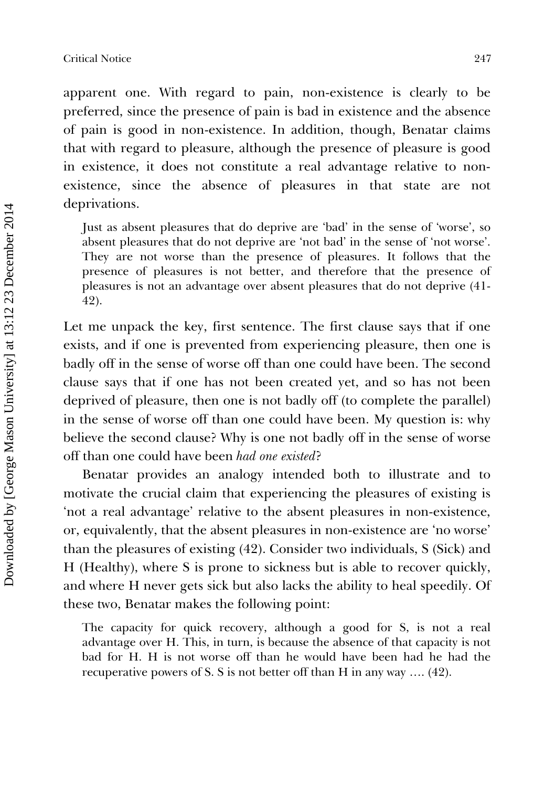apparent one. With regard to pain, non-existence is clearly to be preferred, since the presence of pain is bad in existence and the absence of pain is good in non-existence. In addition, though, Benatar claims that with regard to pleasure, although the presence of pleasure is good in existence, it does not constitute a real advantage relative to nonexistence, since the absence of pleasures in that state are not deprivations.

Just as absent pleasures that do deprive are 'bad' in the sense of 'worse', so absent pleasures that do not deprive are 'not bad' in the sense of 'not worse'. They are not worse than the presence of pleasures. It follows that the presence of pleasures is not better, and therefore that the presence of pleasures is not an advantage over absent pleasures that do not deprive (41- 42).

Let me unpack the key, first sentence. The first clause says that if one exists, and if one is prevented from experiencing pleasure, then one is badly off in the sense of worse off than one could have been. The second clause says that if one has not been created yet, and so has not been deprived of pleasure, then one is not badly off (to complete the parallel) in the sense of worse off than one could have been. My question is: why believe the second clause? Why is one not badly off in the sense of worse off than one could have been *had one existed*?

Benatar provides an analogy intended both to illustrate and to motivate the crucial claim that experiencing the pleasures of existing is 'not a real advantage' relative to the absent pleasures in non-existence, or, equivalently, that the absent pleasures in non-existence are 'no worse' than the pleasures of existing (42). Consider two individuals, S (Sick) and H (Healthy), where S is prone to sickness but is able to recover quickly, and where H never gets sick but also lacks the ability to heal speedily. Of these two, Benatar makes the following point:

The capacity for quick recovery, although a good for S, is not a real advantage over H. This, in turn, is because the absence of that capacity is not bad for H. H is not worse off than he would have been had he had the recuperative powers of S. S is not better off than H in any way …. (42).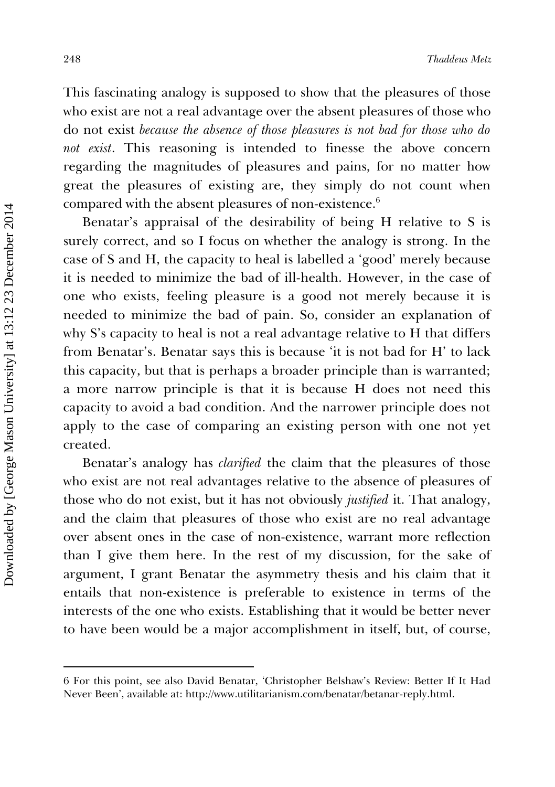This fascinating analogy is supposed to show that the pleasures of those who exist are not a real advantage over the absent pleasures of those who do not exist *because the absence of those pleasures is not bad for those who do not exist*. This reasoning is intended to finesse the above concern regarding the magnitudes of pleasures and pains, for no matter how great the pleasures of existing are, they simply do not count when compared with the absent pleasures of non-existence.<sup>6</sup>

Benatar's appraisal of the desirability of being H relative to S is surely correct, and so I focus on whether the analogy is strong. In the case of S and H, the capacity to heal is labelled a 'good' merely because it is needed to minimize the bad of ill-health. However, in the case of one who exists, feeling pleasure is a good not merely because it is needed to minimize the bad of pain. So, consider an explanation of why S's capacity to heal is not a real advantage relative to H that differs from Benatar's. Benatar says this is because 'it is not bad for H' to lack this capacity, but that is perhaps a broader principle than is warranted; a more narrow principle is that it is because H does not need this capacity to avoid a bad condition. And the narrower principle does not apply to the case of comparing an existing person with one not yet created.

Benatar's analogy has *clarified* the claim that the pleasures of those who exist are not real advantages relative to the absence of pleasures of those who do not exist, but it has not obviously *justified* it. That analogy, and the claim that pleasures of those who exist are no real advantage over absent ones in the case of non-existence, warrant more reflection than I give them here. In the rest of my discussion, for the sake of argument, I grant Benatar the asymmetry thesis and his claim that it entails that non-existence is preferable to existence in terms of the interests of the one who exists. Establishing that it would be better never to have been would be a major accomplishment in itself, but, of course,

<sup>6</sup> For this point, see also David Benatar, 'Christopher Belshaw's Review: Better If It Had Never Been', available at: http://www.utilitarianism.com/benatar/betanar-reply.html.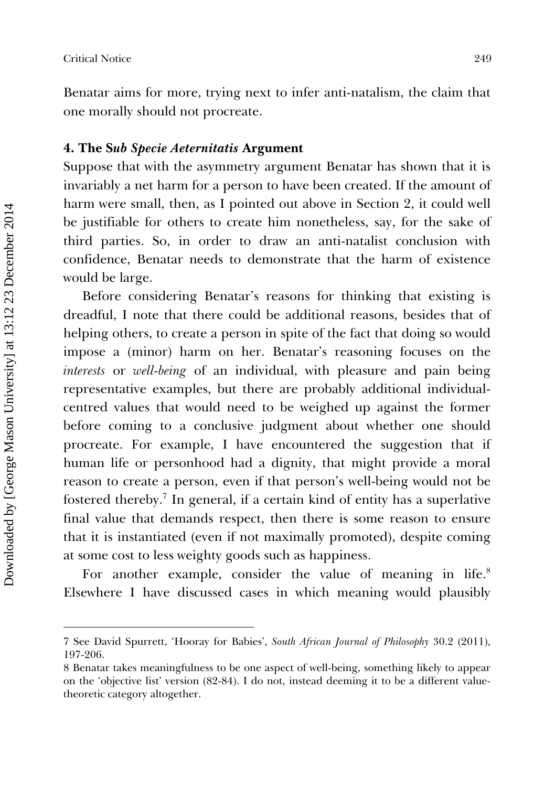Benatar aims for more, trying next to infer anti-natalism, the claim that one morally should not procreate.

## **4. The S***ub Specie Aeternitatis* **Argument**

Suppose that with the asymmetry argument Benatar has shown that it is invariably a net harm for a person to have been created. If the amount of harm were small, then, as I pointed out above in Section 2, it could well be justifiable for others to create him nonetheless, say, for the sake of third parties. So, in order to draw an anti-natalist conclusion with confidence, Benatar needs to demonstrate that the harm of existence would be large.

Before considering Benatar's reasons for thinking that existing is dreadful, I note that there could be additional reasons, besides that of helping others, to create a person in spite of the fact that doing so would impose a (minor) harm on her. Benatar's reasoning focuses on the *interests* or *well-being* of an individual, with pleasure and pain being representative examples, but there are probably additional individualcentred values that would need to be weighed up against the former before coming to a conclusive judgment about whether one should procreate. For example, I have encountered the suggestion that if human life or personhood had a dignity, that might provide a moral reason to create a person, even if that person's well-being would not be fostered thereby.<sup>7</sup> In general, if a certain kind of entity has a superlative final value that demands respect, then there is some reason to ensure that it is instantiated (even if not maximally promoted), despite coming at some cost to less weighty goods such as happiness.

For another example, consider the value of meaning in life.<sup>8</sup> Elsewhere I have discussed cases in which meaning would plausibly

<sup>7</sup> See David Spurrett, 'Hooray for Babies', *South African Journal of Philosophy* 30.2 (2011), 197-206.

<sup>8</sup> Benatar takes meaningfulness to be one aspect of well-being, something likely to appear on the 'objective list' version (82-84). I do not, instead deeming it to be a different valuetheoretic category altogether.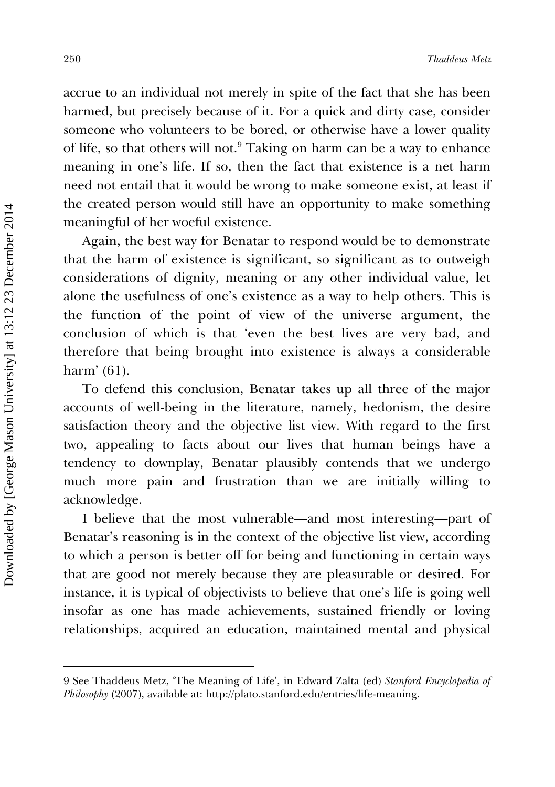accrue to an individual not merely in spite of the fact that she has been harmed, but precisely because of it. For a quick and dirty case, consider someone who volunteers to be bored, or otherwise have a lower quality of life, so that others will not.<sup>9</sup> Taking on harm can be a way to enhance meaning in one's life. If so, then the fact that existence is a net harm need not entail that it would be wrong to make someone exist, at least if the created person would still have an opportunity to make something meaningful of her woeful existence.

Again, the best way for Benatar to respond would be to demonstrate that the harm of existence is significant, so significant as to outweigh considerations of dignity, meaning or any other individual value, let alone the usefulness of one's existence as a way to help others. This is the function of the point of view of the universe argument, the conclusion of which is that 'even the best lives are very bad, and therefore that being brought into existence is always a considerable harm' (61).

To defend this conclusion, Benatar takes up all three of the major accounts of well-being in the literature, namely, hedonism, the desire satisfaction theory and the objective list view. With regard to the first two, appealing to facts about our lives that human beings have a tendency to downplay, Benatar plausibly contends that we undergo much more pain and frustration than we are initially willing to acknowledge.

I believe that the most vulnerable—and most interesting—part of Benatar's reasoning is in the context of the objective list view, according to which a person is better off for being and functioning in certain ways that are good not merely because they are pleasurable or desired. For instance, it is typical of objectivists to believe that one's life is going well insofar as one has made achievements, sustained friendly or loving relationships, acquired an education, maintained mental and physical

<sup>9</sup> See Thaddeus Metz, 'The Meaning of Life', in Edward Zalta (ed) *Stanford Encyclopedia of Philosophy* (2007), available at: http://plato.stanford.edu/entries/life-meaning.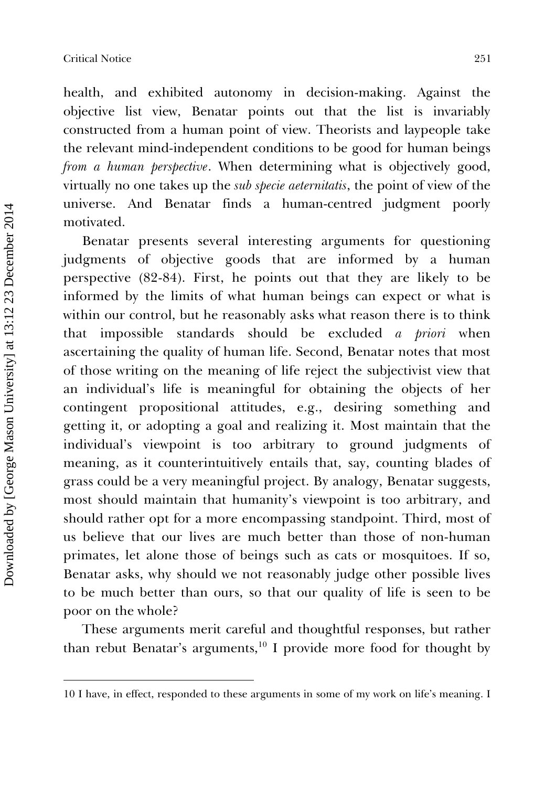health, and exhibited autonomy in decision-making. Against the objective list view, Benatar points out that the list is invariably constructed from a human point of view. Theorists and laypeople take the relevant mind-independent conditions to be good for human beings *from a human perspective*. When determining what is objectively good, virtually no one takes up the *sub specie aeternitatis*, the point of view of the universe. And Benatar finds a human-centred judgment poorly motivated.

Benatar presents several interesting arguments for questioning judgments of objective goods that are informed by a human perspective (82-84). First, he points out that they are likely to be informed by the limits of what human beings can expect or what is within our control, but he reasonably asks what reason there is to think that impossible standards should be excluded *a priori* when ascertaining the quality of human life. Second, Benatar notes that most of those writing on the meaning of life reject the subjectivist view that an individual's life is meaningful for obtaining the objects of her contingent propositional attitudes, e.g., desiring something and getting it, or adopting a goal and realizing it. Most maintain that the individual's viewpoint is too arbitrary to ground judgments of meaning, as it counterintuitively entails that, say, counting blades of grass could be a very meaningful project. By analogy, Benatar suggests, most should maintain that humanity's viewpoint is too arbitrary, and should rather opt for a more encompassing standpoint. Third, most of us believe that our lives are much better than those of non-human primates, let alone those of beings such as cats or mosquitoes. If so, Benatar asks, why should we not reasonably judge other possible lives to be much better than ours, so that our quality of life is seen to be poor on the whole?

These arguments merit careful and thoughtful responses, but rather than rebut Benatar's arguments, $10$  I provide more food for thought by

l

<sup>10</sup> I have, in effect, responded to these arguments in some of my work on life's meaning. I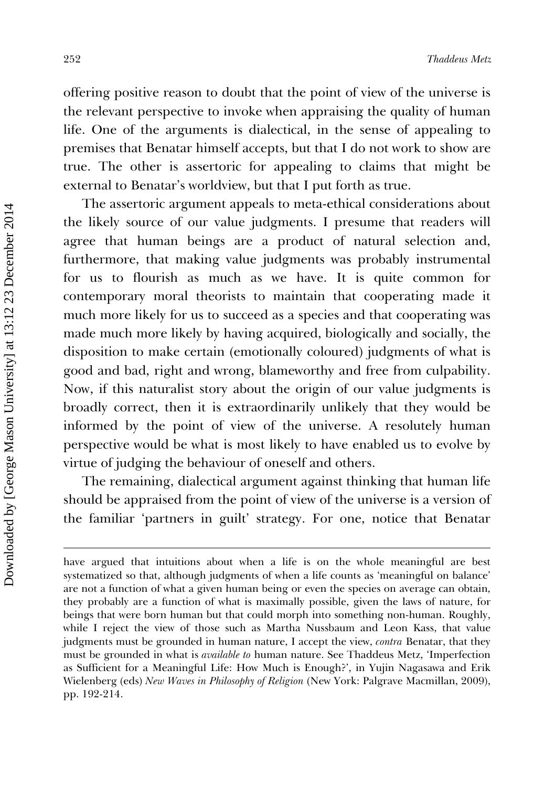offering positive reason to doubt that the point of view of the universe is the relevant perspective to invoke when appraising the quality of human life. One of the arguments is dialectical, in the sense of appealing to premises that Benatar himself accepts, but that I do not work to show are true. The other is assertoric for appealing to claims that might be external to Benatar's worldview, but that I put forth as true.

The assertoric argument appeals to meta-ethical considerations about the likely source of our value judgments. I presume that readers will agree that human beings are a product of natural selection and, furthermore, that making value judgments was probably instrumental for us to flourish as much as we have. It is quite common for contemporary moral theorists to maintain that cooperating made it much more likely for us to succeed as a species and that cooperating was made much more likely by having acquired, biologically and socially, the disposition to make certain (emotionally coloured) judgments of what is good and bad, right and wrong, blameworthy and free from culpability. Now, if this naturalist story about the origin of our value judgments is broadly correct, then it is extraordinarily unlikely that they would be informed by the point of view of the universe. A resolutely human perspective would be what is most likely to have enabled us to evolve by virtue of judging the behaviour of oneself and others.

The remaining, dialectical argument against thinking that human life should be appraised from the point of view of the universe is a version of the familiar 'partners in guilt' strategy. For one, notice that Benatar

have argued that intuitions about when a life is on the whole meaningful are best systematized so that, although judgments of when a life counts as 'meaningful on balance' are not a function of what a given human being or even the species on average can obtain, they probably are a function of what is maximally possible, given the laws of nature, for beings that were born human but that could morph into something non-human. Roughly, while I reject the view of those such as Martha Nussbaum and Leon Kass, that value judgments must be grounded in human nature, I accept the view, *contra* Benatar, that they must be grounded in what is *available to* human nature. See Thaddeus Metz, 'Imperfection as Sufficient for a Meaningful Life: How Much is Enough?', in Yujin Nagasawa and Erik Wielenberg (eds) *New Waves in Philosophy of Religion* (New York: Palgrave Macmillan, 2009), pp. 192-214.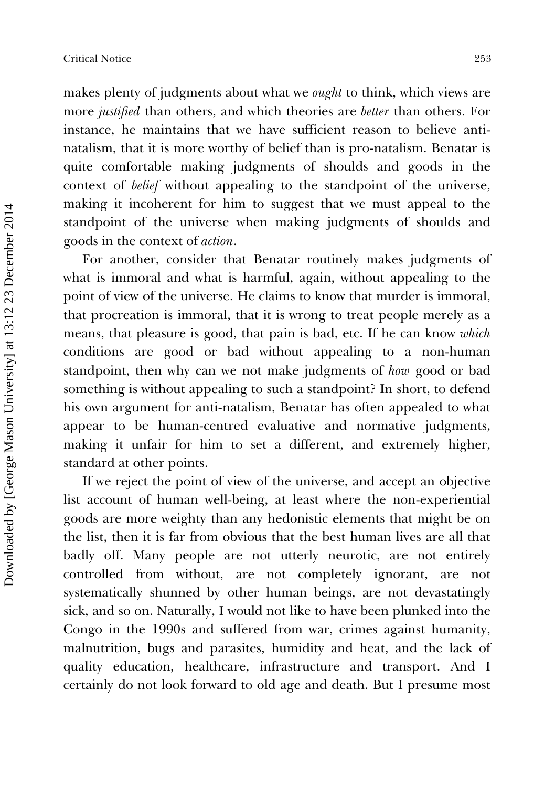makes plenty of judgments about what we *ought* to think, which views are more *justified* than others, and which theories are *better* than others. For instance, he maintains that we have sufficient reason to believe antinatalism, that it is more worthy of belief than is pro-natalism. Benatar is quite comfortable making judgments of shoulds and goods in the context of *belief* without appealing to the standpoint of the universe, making it incoherent for him to suggest that we must appeal to the standpoint of the universe when making judgments of shoulds and goods in the context of *action*.

For another, consider that Benatar routinely makes judgments of what is immoral and what is harmful, again, without appealing to the point of view of the universe. He claims to know that murder is immoral, that procreation is immoral, that it is wrong to treat people merely as a means, that pleasure is good, that pain is bad, etc. If he can know *which* conditions are good or bad without appealing to a non-human standpoint, then why can we not make judgments of *how* good or bad something is without appealing to such a standpoint? In short, to defend his own argument for anti-natalism, Benatar has often appealed to what appear to be human-centred evaluative and normative judgments, making it unfair for him to set a different, and extremely higher, standard at other points.

If we reject the point of view of the universe, and accept an objective list account of human well-being, at least where the non-experiential goods are more weighty than any hedonistic elements that might be on the list, then it is far from obvious that the best human lives are all that badly off. Many people are not utterly neurotic, are not entirely controlled from without, are not completely ignorant, are not systematically shunned by other human beings, are not devastatingly sick, and so on. Naturally, I would not like to have been plunked into the Congo in the 1990s and suffered from war, crimes against humanity, malnutrition, bugs and parasites, humidity and heat, and the lack of quality education, healthcare, infrastructure and transport. And I certainly do not look forward to old age and death. But I presume most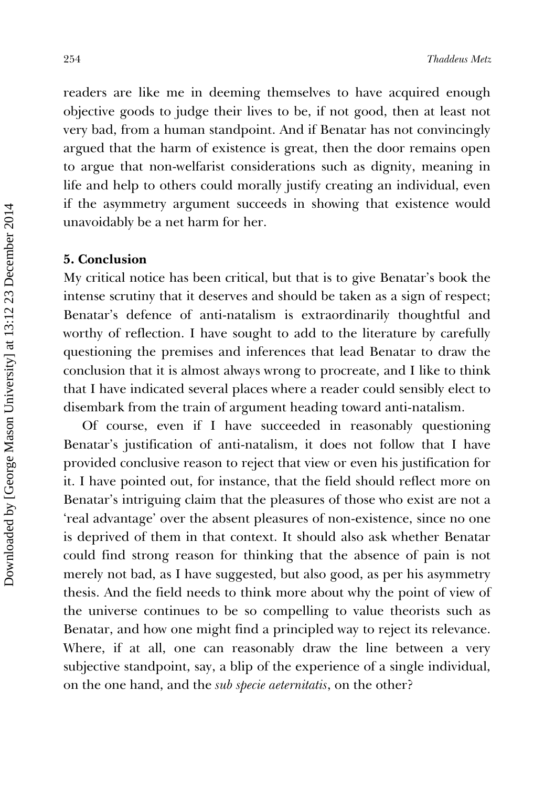readers are like me in deeming themselves to have acquired enough objective goods to judge their lives to be, if not good, then at least not very bad, from a human standpoint. And if Benatar has not convincingly argued that the harm of existence is great, then the door remains open to argue that non-welfarist considerations such as dignity, meaning in life and help to others could morally justify creating an individual, even if the asymmetry argument succeeds in showing that existence would unavoidably be a net harm for her.

#### **5. Conclusion**

My critical notice has been critical, but that is to give Benatar's book the intense scrutiny that it deserves and should be taken as a sign of respect; Benatar's defence of anti-natalism is extraordinarily thoughtful and worthy of reflection. I have sought to add to the literature by carefully questioning the premises and inferences that lead Benatar to draw the conclusion that it is almost always wrong to procreate, and I like to think that I have indicated several places where a reader could sensibly elect to disembark from the train of argument heading toward anti-natalism.

Of course, even if I have succeeded in reasonably questioning Benatar's justification of anti-natalism, it does not follow that I have provided conclusive reason to reject that view or even his justification for it. I have pointed out, for instance, that the field should reflect more on Benatar's intriguing claim that the pleasures of those who exist are not a 'real advantage' over the absent pleasures of non-existence, since no one is deprived of them in that context. It should also ask whether Benatar could find strong reason for thinking that the absence of pain is not merely not bad, as I have suggested, but also good, as per his asymmetry thesis. And the field needs to think more about why the point of view of the universe continues to be so compelling to value theorists such as Benatar, and how one might find a principled way to reject its relevance. Where, if at all, one can reasonably draw the line between a very subjective standpoint, say, a blip of the experience of a single individual, on the one hand, and the *sub specie aeternitatis*, on the other?